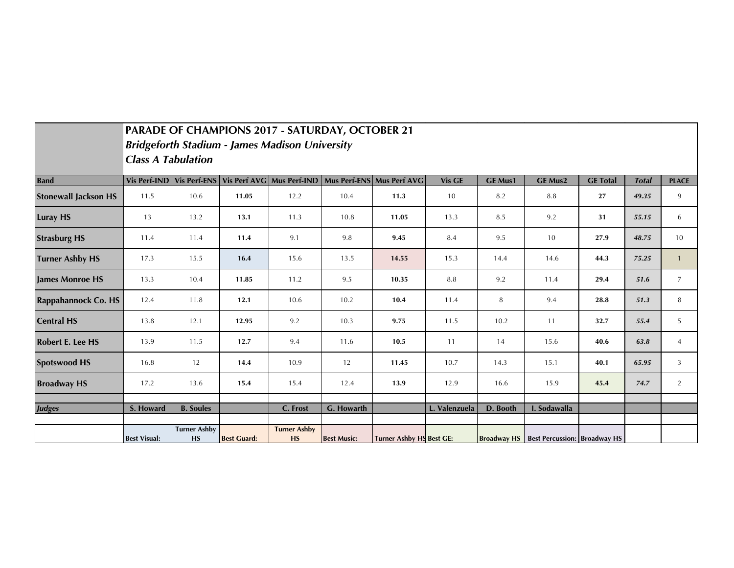|                             | PARADE OF CHAMPIONS 2017 - SATURDAY, OCTOBER 21<br><b>Bridgeforth Stadium - James Madison University</b><br><b>Class A Tabulation</b> |                                  |                    |                                                     |                    |                                 |               |                |                                                 |                 |              |                |
|-----------------------------|---------------------------------------------------------------------------------------------------------------------------------------|----------------------------------|--------------------|-----------------------------------------------------|--------------------|---------------------------------|---------------|----------------|-------------------------------------------------|-----------------|--------------|----------------|
| <b>Band</b>                 |                                                                                                                                       |                                  |                    | Vis Perf-IND Vis Perf-ENS Vis Perf AVG Mus Perf-IND |                    | Mus Perf-ENS Mus Perf AVG       | <b>Vis GE</b> | <b>GE Mus1</b> | <b>GE Mus2</b>                                  | <b>GE Total</b> | <b>Total</b> | <b>PLACE</b>   |
| <b>Stonewall Jackson HS</b> | 11.5                                                                                                                                  | 10.6                             | 11.05              | 12.2                                                | 10.4               | 11.3                            | 10            | 8.2            | 8.8                                             | 27              | 49.35        | 9              |
| <b>Luray HS</b>             | 13                                                                                                                                    | 13.2                             | 13.1               | 11.3                                                | 10.8               | 11.05                           | 13.3          | 8.5            | 9.2                                             | 31              | 55.15        | 6              |
| <b>Strasburg HS</b>         | 11.4                                                                                                                                  | 11.4                             | 11.4               | 9.1                                                 | 9.8                | 9.45                            | 8.4           | 9.5            | 10                                              | 27.9            | 48.75        | 10             |
| <b>Turner Ashby HS</b>      | 17.3                                                                                                                                  | 15.5                             | 16.4               | 15.6                                                | 13.5               | 14.55                           | 15.3          | 14.4           | 14.6                                            | 44.3            | 75.25        | $\mathbf{1}$   |
| <b>James Monroe HS</b>      | 13.3                                                                                                                                  | 10.4                             | 11.85              | 11.2                                                | 9.5                | 10.35                           | 8.8           | 9.2            | 11.4                                            | 29.4            | 51.6         | $\overline{7}$ |
| <b>Rappahannock Co. HS</b>  | 12.4                                                                                                                                  | 11.8                             | 12.1               | 10.6                                                | 10.2               | 10.4                            | 11.4          | 8              | 9.4                                             | 28.8            | 51.3         | 8              |
| <b>Central HS</b>           | 13.8                                                                                                                                  | 12.1                             | 12.95              | 9.2                                                 | 10.3               | 9.75                            | 11.5          | 10.2           | 11                                              | 32.7            | 55.4         | 5              |
| <b>Robert E. Lee HS</b>     | 13.9                                                                                                                                  | 11.5                             | 12.7               | 9.4                                                 | 11.6               | 10.5                            | 11            | 14             | 15.6                                            | 40.6            | 63.8         | $\overline{4}$ |
| <b>Spotswood HS</b>         | 16.8                                                                                                                                  | 12                               | 14.4               | 10.9                                                | 12                 | 11.45                           | 10.7          | 14.3           | 15.1                                            | 40.1            | 65.95        | 3              |
| <b>Broadway HS</b>          | 17.2                                                                                                                                  | 13.6                             | 15.4               | 15.4                                                | 12.4               | 13.9                            | 12.9          | 16.6           | 15.9                                            | 45.4            | 74.7         | 2              |
|                             |                                                                                                                                       |                                  |                    |                                                     |                    |                                 |               |                |                                                 |                 |              |                |
| <b>Judges</b>               | S. Howard                                                                                                                             | <b>B.</b> Soules                 |                    | C. Frost                                            | G. Howarth         |                                 | L. Valenzuela | D. Booth       | I. Sodawalla                                    |                 |              |                |
|                             | <b>Best Visual:</b>                                                                                                                   | <b>Turner Ashby</b><br><b>HS</b> | <b>Best Guard:</b> | <b>Turner Ashby</b><br><b>HS</b>                    | <b>Best Music:</b> | <b>Turner Ashby HS Best GE:</b> |               |                | <b>Broadway HS</b> Best Percussion: Broadway HS |                 |              |                |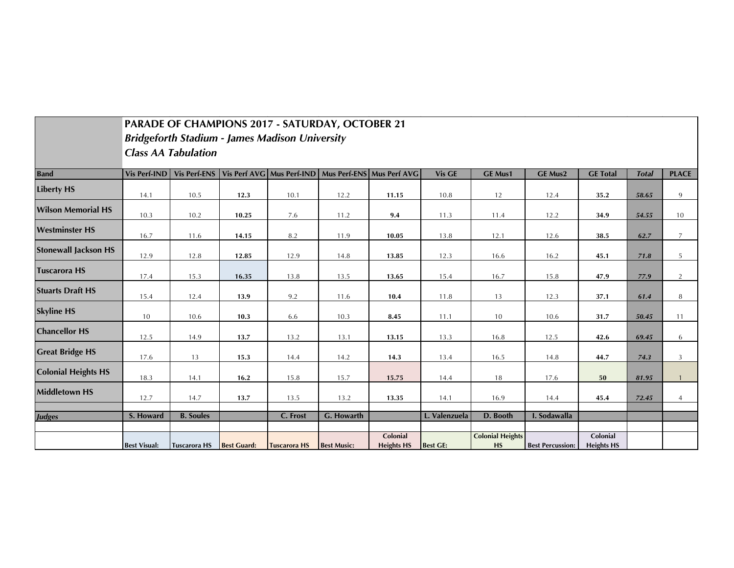|                             | PARADE OF CHAMPIONS 2017 - SATURDAY, OCTOBER 21 |                     |                    |                                                       |                    |                                                     |                 |                                      |                         |                               |              |                |
|-----------------------------|-------------------------------------------------|---------------------|--------------------|-------------------------------------------------------|--------------------|-----------------------------------------------------|-----------------|--------------------------------------|-------------------------|-------------------------------|--------------|----------------|
|                             |                                                 |                     |                    | <b>Bridgeforth Stadium - James Madison University</b> |                    |                                                     |                 |                                      |                         |                               |              |                |
|                             | <b>Class AA Tabulation</b>                      |                     |                    |                                                       |                    |                                                     |                 |                                      |                         |                               |              |                |
| <b>Band</b>                 | <b>Vis Perf-IND</b>                             | <b>Vis Perf-ENS</b> |                    |                                                       |                    | Vis Perf AVG Mus Perf-IND Mus Perf-ENS Mus Perf AVG | <b>Vis GE</b>   | <b>GE Mus1</b>                       | <b>GE Mus2</b>          | <b>GE Total</b>               | <b>Total</b> | <b>PLACE</b>   |
| <b>Liberty HS</b>           | 14.1                                            | 10.5                | 12.3               | 10.1                                                  | 12.2               | 11.15                                               | 10.8            | 12                                   | 12.4                    | 35.2                          | 58.65        | 9              |
| <b>Wilson Memorial HS</b>   | 10.3                                            | 10.2                | 10.25              | 7.6                                                   | 11.2               | 9.4                                                 | 11.3            | 11.4                                 | 12.2                    | 34.9                          | 54.55        | 10             |
| <b>Westminster HS</b>       | 16.7                                            | 11.6                | 14.15              | 8.2                                                   | 11.9               | 10.05                                               | 13.8            | 12.1                                 | 12.6                    | 38.5                          | 62.7         | $\overline{7}$ |
| <b>Stonewall Jackson HS</b> | 12.9                                            | 12.8                | 12.85              | 12.9                                                  | 14.8               | 13.85                                               | 12.3            | 16.6                                 | 16.2                    | 45.1                          | 71.8         | 5              |
| <b>Tuscarora HS</b>         | 17.4                                            | 15.3                | 16.35              | 13.8                                                  | 13.5               | 13.65                                               | 15.4            | 16.7                                 | 15.8                    | 47.9                          | 77.9         | $\overline{2}$ |
| <b>Stuarts Draft HS</b>     | 15.4                                            | 12.4                | 13.9               | 9.2                                                   | 11.6               | 10.4                                                | 11.8            | 13                                   | 12.3                    | 37.1                          | 61.4         | 8              |
| <b>Skyline HS</b>           | 10                                              | 10.6                | 10.3               | 6.6                                                   | 10.3               | 8.45                                                | 11.1            | 10                                   | 10.6                    | 31.7                          | 50.45        | 11             |
| <b>Chancellor HS</b>        | 12.5                                            | 14.9                | 13.7               | 13.2                                                  | 13.1               | 13.15                                               | 13.3            | 16.8                                 | 12.5                    | 42.6                          | 69.45        | 6              |
| <b>Great Bridge HS</b>      | 17.6                                            | 13                  | 15.3               | 14.4                                                  | 14.2               | 14.3                                                | 13.4            | 16.5                                 | 14.8                    | 44.7                          | 74.3         | 3              |
| <b>Colonial Heights HS</b>  | 18.3                                            | 14.1                | 16.2               | 15.8                                                  | 15.7               | 15.75                                               | 14.4            | 18                                   | 17.6                    | 50                            | 81.95        | $\mathbf{1}$   |
| <b>Middletown HS</b>        | 12.7                                            | 14.7                | 13.7               | 13.5                                                  | 13.2               | 13.35                                               | 14.1            | 16.9                                 | 14.4                    | 45.4                          | 72.45        | $\overline{4}$ |
| <b>Judges</b>               | S. Howard                                       | <b>B.</b> Soules    |                    | C. Frost                                              | G. Howarth         |                                                     | L. Valenzuela   | D. Booth                             | I. Sodawalla            |                               |              |                |
|                             | <b>Best Visual:</b>                             | <b>Tuscarora HS</b> | <b>Best Guard:</b> | <b>Tuscarora HS</b>                                   | <b>Best Music:</b> | Colonial<br><b>Heights HS</b>                       | <b>Best GE:</b> | <b>Colonial Heights</b><br><b>HS</b> | <b>Best Percussion:</b> | Colonial<br><b>Heights HS</b> |              |                |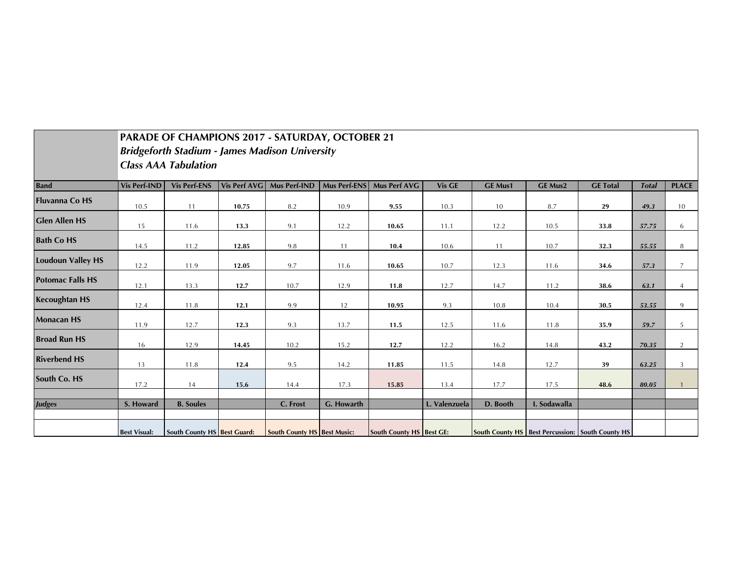|                          |                     | PARADE OF CHAMPIONS 2017 - SATURDAY, OCTOBER 21 |              |                                                       |                     |                                 |               |                |                |                                                             |              |                |  |  |
|--------------------------|---------------------|-------------------------------------------------|--------------|-------------------------------------------------------|---------------------|---------------------------------|---------------|----------------|----------------|-------------------------------------------------------------|--------------|----------------|--|--|
|                          |                     |                                                 |              | <b>Bridgeforth Stadium - James Madison University</b> |                     |                                 |               |                |                |                                                             |              |                |  |  |
|                          |                     | <b>Class AAA Tabulation</b>                     |              |                                                       |                     |                                 |               |                |                |                                                             |              |                |  |  |
| <b>Band</b>              | <b>Vis Perf-IND</b> | <b>Vis Perf-ENS</b>                             | Vis Perf AVG | Mus Perf-IND                                          | <b>Mus Perf-ENS</b> | <b>Mus Perf AVG</b>             | Vis GE        | <b>GE Mus1</b> | <b>GE Mus2</b> | <b>GE Total</b>                                             | <b>Total</b> | <b>PLACE</b>   |  |  |
| <b>Fluvanna Co HS</b>    | 10.5                | 11                                              | 10.75        | 8.2                                                   | 10.9                | 9.55                            | 10.3          | 10             | 8.7            | 29                                                          | 49.3         | 10             |  |  |
| <b>Glen Allen HS</b>     | 15                  | 11.6                                            | 13.3         | 9.1                                                   | 12.2                | 10.65                           | 11.1          | 12.2           | 10.5           | 33.8                                                        | 57.75        | 6              |  |  |
| <b>Bath Co HS</b>        | 14.5                | 11.2                                            | 12.85        | 9.8                                                   | 11                  | 10.4                            | 10.6          | 11             | 10.7           | 32.3                                                        | 55.55        | 8              |  |  |
| <b>Loudoun Valley HS</b> | 12.2                | 11.9                                            | 12.05        | 9.7                                                   | 11.6                | 10.65                           | 10.7          | 12.3           | 11.6           | 34.6                                                        | 57.3         | $\overline{7}$ |  |  |
| <b>Potomac Falls HS</b>  | 12.1                | 13.3                                            | 12.7         | 10.7                                                  | 12.9                | 11.8                            | 12.7          | 14.7           | 11.2           | 38.6                                                        | 63.1         | $\overline{4}$ |  |  |
| <b>Kecoughtan HS</b>     | 12.4                | 11.8                                            | 12.1         | 9.9                                                   | 12                  | 10.95                           | 9.3           | 10.8           | 10.4           | 30.5                                                        | 53.55        | 9              |  |  |
| <b>Monacan HS</b>        | 11.9                | 12.7                                            | 12.3         | 9.3                                                   | 13.7                | 11.5                            | 12.5          | 11.6           | 11.8           | 35.9                                                        | 59.7         | 5              |  |  |
| <b>Broad Run HS</b>      | 16                  | 12.9                                            | 14.45        | 10.2                                                  | 15.2                | 12.7                            | 12.2          | 16.2           | 14.8           | 43.2                                                        | 70.35        | $\overline{2}$ |  |  |
| <b>Riverbend HS</b>      | 13                  | 11.8                                            | 12.4         | 9.5                                                   | 14.2                | 11.85                           | 11.5          | 14.8           | 12.7           | 39                                                          | 63.25        | $\overline{3}$ |  |  |
| <b>South Co. HS</b>      | 17.2                | 14                                              | 15.6         | 14.4                                                  | 17.3                | 15.85                           | 13.4          | 17.7           | 17.5           | 48.6                                                        | 80.05        |                |  |  |
| <b>Judges</b>            | S. Howard           | <b>B.</b> Soules                                |              | C. Frost                                              | G. Howarth          |                                 | L. Valenzuela | D. Booth       | I. Sodawalla   |                                                             |              |                |  |  |
|                          | <b>Best Visual:</b> | <b>South County HS Best Guard:</b>              |              | <b>South County HS Best Music:</b>                    |                     | <b>South County HS Best GE:</b> |               |                |                | <b>South County HS   Best Percussion:   South County HS</b> |              |                |  |  |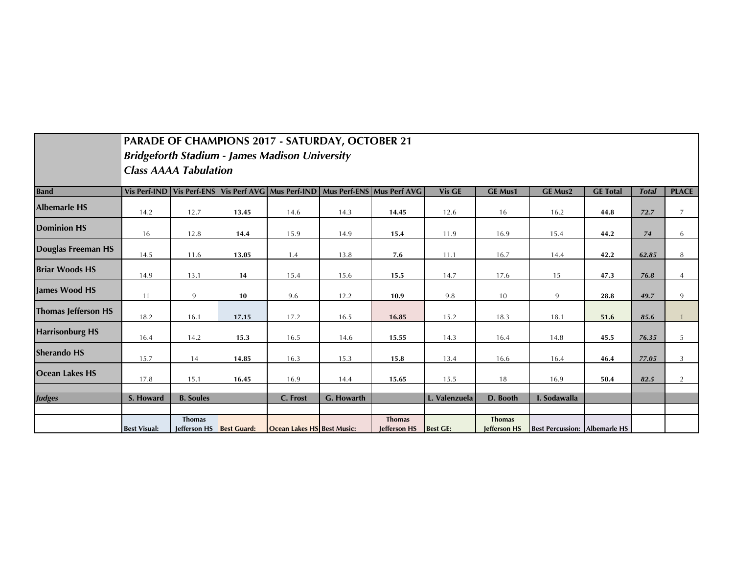|                        | <b>PARADE OF CHAMPIONS 2017 - SATURDAY, OCTOBER 21</b> |                               |                    |                                                       |            |                                                                                         |                 |                                      |                                      |                 |              |                |
|------------------------|--------------------------------------------------------|-------------------------------|--------------------|-------------------------------------------------------|------------|-----------------------------------------------------------------------------------------|-----------------|--------------------------------------|--------------------------------------|-----------------|--------------|----------------|
|                        |                                                        |                               |                    | <b>Bridgeforth Stadium - James Madison University</b> |            |                                                                                         |                 |                                      |                                      |                 |              |                |
|                        | <b>Class AAAA Tabulation</b>                           |                               |                    |                                                       |            |                                                                                         |                 |                                      |                                      |                 |              |                |
| <b>Band</b>            |                                                        |                               |                    |                                                       |            | Vis Perf-IND   Vis Perf-ENS   Vis Perf AVG   Mus Perf-IND   Mus Perf-ENS   Mus Perf AVG | <b>Vis GE</b>   | <b>GE Mus1</b>                       | <b>GE Mus2</b>                       | <b>GE Total</b> | <b>Total</b> | <b>PLACE</b>   |
| <b>Albemarle HS</b>    | 14.2                                                   | 12.7                          | 13.45              | 14.6                                                  | 14.3       | 14.45                                                                                   | 12.6            | 16                                   | 16.2                                 | 44.8            | 72.7         | $\overline{7}$ |
| <b>Dominion HS</b>     | 16                                                     | 12.8                          | 14.4               | 15.9                                                  | 14.9       | 15.4                                                                                    | 11.9            | 16.9                                 | 15.4                                 | 44.2            | $74$         | 6              |
| Douglas Freeman HS     | 14.5                                                   | 11.6                          | 13.05              | 1.4                                                   | 13.8       | 7.6                                                                                     | 11.1            | 16.7                                 | 14.4                                 | 42.2            | 62.85        | 8              |
| <b>Briar Woods HS</b>  | 14.9                                                   | 13.1                          | 14                 | 15.4                                                  | 15.6       | 15.5                                                                                    | 14.7            | 17.6                                 | 15                                   | 47.3            | 76.8         | $\overline{4}$ |
| <b>James Wood HS</b>   | 11                                                     | 9                             | 10                 | 9.6                                                   | 12.2       | 10.9                                                                                    | 9.8             | 10                                   | 9                                    | 28.8            | 49.7         | 9              |
| Thomas Jefferson HS    | 18.2                                                   | 16.1                          | 17.15              | 17.2                                                  | 16.5       | 16.85                                                                                   | 15.2            | 18.3                                 | 18.1                                 | 51.6            | 85.6         |                |
| <b>Harrisonburg HS</b> | 16.4                                                   | 14.2                          | 15.3               | 16.5                                                  | 14.6       | 15.55                                                                                   | 14.3            | 16.4                                 | 14.8                                 | 45.5            | 76.35        | 5              |
| <b>Sherando HS</b>     | 15.7                                                   | 14                            | 14.85              | 16.3                                                  | 15.3       | 15.8                                                                                    | 13.4            | 16.6                                 | 16.4                                 | 46.4            | 77.05        | 3              |
| Ocean Lakes HS         | 17.8                                                   | 15.1                          | 16.45              | 16.9                                                  | 14.4       | 15.65                                                                                   | 15.5            | 18                                   | 16.9                                 | 50.4            | 82.5         | 2              |
| <b>Judges</b>          | S. Howard                                              | <b>B.</b> Soules              |                    | C. Frost                                              | G. Howarth |                                                                                         | L. Valenzuela   | D. Booth                             | I. Sodawalla                         |                 |              |                |
|                        | <b>Best Visual:</b>                                    | <b>Thomas</b><br>Jefferson HS | <b>Best Guard:</b> | Ocean Lakes HS Best Music:                            |            | <b>Thomas</b><br>Jefferson HS                                                           | <b>Best GE:</b> | <b>Thomas</b><br><b>Jefferson HS</b> | <b>Best Percussion: Albemarle HS</b> |                 |              |                |